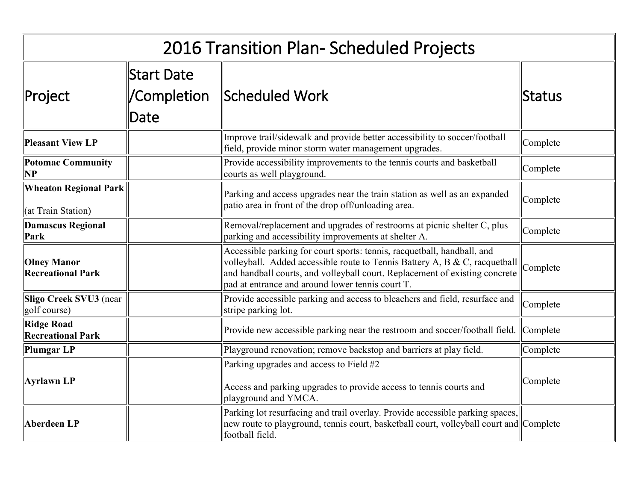| 2016 Transition Plan- Scheduled Projects           |                                          |                                                                                                                                                                                                                                                                                                     |              |  |
|----------------------------------------------------|------------------------------------------|-----------------------------------------------------------------------------------------------------------------------------------------------------------------------------------------------------------------------------------------------------------------------------------------------------|--------------|--|
| ∥Project                                           | <b>Start Date</b><br>/Completion<br>Date | Scheduled Work                                                                                                                                                                                                                                                                                      | ∥Status      |  |
| Pleasant View LP                                   |                                          | Improve trail/sidewalk and provide better accessibility to soccer/football<br>field, provide minor storm water management upgrades.                                                                                                                                                                 | Complete     |  |
| Potomac Community<br>NP                            |                                          | Provide accessibility improvements to the tennis courts and basketball<br>courts as well playground.                                                                                                                                                                                                | Complete     |  |
| <b>Wheaton Regional Park</b><br>(at Train Station) |                                          | Parking and access upgrades near the train station as well as an expanded<br>patio area in front of the drop off/unloading area.                                                                                                                                                                    | Complete     |  |
| Damascus Regional<br>Park                          |                                          | Removal/replacement and upgrades of restrooms at picnic shelter C, plus<br>parking and accessibility improvements at shelter A.                                                                                                                                                                     | Complete     |  |
| <b>Olney Manor</b><br><b>Recreational Park</b>     |                                          | Accessible parking for court sports: tennis, racquetball, handball, and<br>Notice purifies to the contract of Tennis Battery A, B & C, racquetball $\ $ Complete<br>and handball courts, and volleyball court. Replacement of existing concrete<br>pad at entrance and around lower tennis court T. |              |  |
| Sligo Creek SVU3 (near<br>golf course)             |                                          | Provide accessible parking and access to bleachers and field, resurface and<br>stripe parking lot.                                                                                                                                                                                                  | Complete     |  |
| <b>Ridge Road</b><br><b>Recreational Park</b>      |                                          | Provide new accessible parking near the restroom and soccer/football field.                                                                                                                                                                                                                         | $ $ Complete |  |
| Plumgar LP                                         |                                          | Playground renovation; remove backstop and barriers at play field.                                                                                                                                                                                                                                  | Complete     |  |
| <b>Ayrlawn LP</b>                                  |                                          | Parking upgrades and access to Field #2<br>Access and parking upgrades to provide access to tennis courts and<br>playground and YMCA.                                                                                                                                                               | Complete     |  |
| <b>Aberdeen LP</b>                                 |                                          | Parking lot resurfacing and trail overlay. Provide accessible parking spaces,<br>new route to playground, tennis court, basketball court, volleyball court and Complete<br>football field.                                                                                                          |              |  |